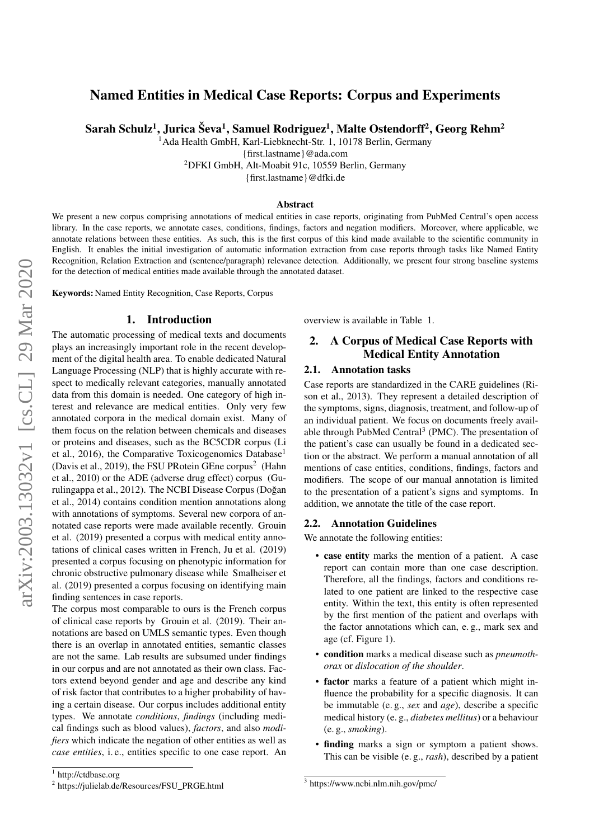# <span id="page-0-0"></span>Named Entities in Medical Case Reports: Corpus and Experiments

Sarah Schulz<sup>1</sup>, Jurica Ševa<sup>1</sup>, Samuel Rodriguez<sup>1</sup>, Malte Ostendorff<sup>2</sup>, Georg Rehm<sup>2</sup>

<sup>1</sup>Ada Health GmbH, Karl-Liebknecht-Str. 1, 10178 Berlin, Germany

{first.lastname}@ada.com

<sup>2</sup>DFKI GmbH, Alt-Moabit 91c, 10559 Berlin, Germany

{first.lastname}@dfki.de

#### Abstract

We present a new corpus comprising annotations of medical entities in case reports, originating from PubMed Central's open access library. In the case reports, we annotate cases, conditions, findings, factors and negation modifiers. Moreover, where applicable, we annotate relations between these entities. As such, this is the first corpus of this kind made available to the scientific community in English. It enables the initial investigation of automatic information extraction from case reports through tasks like Named Entity Recognition, Relation Extraction and (sentence/paragraph) relevance detection. Additionally, we present four strong baseline systems for the detection of medical entities made available through the annotated dataset.

Keywords: Named Entity Recognition, Case Reports, Corpus

#### 1. Introduction

The automatic processing of medical texts and documents plays an increasingly important role in the recent development of the digital health area. To enable dedicated Natural Language Processing (NLP) that is highly accurate with respect to medically relevant categories, manually annotated data from this domain is needed. One category of high interest and relevance are medical entities. Only very few annotated corpora in the medical domain exist. Many of them focus on the relation between chemicals and diseases or proteins and diseases, such as the BC5CDR corpus (Li et al., 2016), the Comparative Toxicogenomics Database<sup>1</sup> (Davis et al., 2019), the FSU PRotein GEne corpus<sup>2</sup> (Hahn et al., 2010) or the ADE (adverse drug effect) corpus (Gurulingappa et al., 2012). The NCBI Disease Corpus (Doğan et al., 2014) contains condition mention annotations along with annotations of symptoms. Several new corpora of annotated case reports were made available recently. Grouin et al. (2019) presented a corpus with medical entity annotations of clinical cases written in French, Ju et al. (2019) presented a corpus focusing on phenotypic information for chronic obstructive pulmonary disease while Smalheiser et al. (2019) presented a corpus focusing on identifying main finding sentences in case reports.

The corpus most comparable to ours is the French corpus of clinical case reports by Grouin et al. (2019). Their annotations are based on UMLS semantic types. Even though there is an overlap in annotated entities, semantic classes are not the same. Lab results are subsumed under findings in our corpus and are not annotated as their own class. Factors extend beyond gender and age and describe any kind of risk factor that contributes to a higher probability of having a certain disease. Our corpus includes additional entity types. We annotate *conditions*, *findings* (including medical findings such as blood values), *factors*, and also *modifiers* which indicate the negation of other entities as well as *case entities*, i. e., entities specific to one case report. An overview is available in Table [1.](#page-1-0)

# 2. A Corpus of Medical Case Reports with Medical Entity Annotation

### 2.1. Annotation tasks

Case reports are standardized in the CARE guidelines (Rison et al., 2013). They represent a detailed description of the symptoms, signs, diagnosis, treatment, and follow-up of an individual patient. We focus on documents freely available through PubMed Central<sup>3</sup> (PMC). The presentation of the patient's case can usually be found in a dedicated section or the abstract. We perform a manual annotation of all mentions of case entities, conditions, findings, factors and modifiers. The scope of our manual annotation is limited to the presentation of a patient's signs and symptoms. In addition, we annotate the title of the case report.

### <span id="page-0-1"></span>2.2. Annotation Guidelines

We annotate the following entities:

- case entity marks the mention of a patient. A case report can contain more than one case description. Therefore, all the findings, factors and conditions related to one patient are linked to the respective case entity. Within the text, this entity is often represented by the first mention of the patient and overlaps with the factor annotations which can, e. g., mark sex and age (cf. Figure [1\)](#page-1-1).
- condition marks a medical disease such as *pneumothorax* or *dislocation of the shoulder*.
- factor marks a feature of a patient which might influence the probability for a specific diagnosis. It can be immutable (e. g., *sex* and *age*), describe a specific medical history (e. g., *diabetes mellitus*) or a behaviour (e. g., *smoking*).
- finding marks a sign or symptom a patient shows. This can be visible (e. g., *rash*), described by a patient

<sup>1</sup> <http://ctdbase.org>

<sup>2</sup> [https://julielab.de/Resources/FSU\\_PRGE.html](https://julielab.de/Resources/FSU_PRGE.html)

<sup>3</sup> https://www.ncbi.nlm.nih.gov/pmc/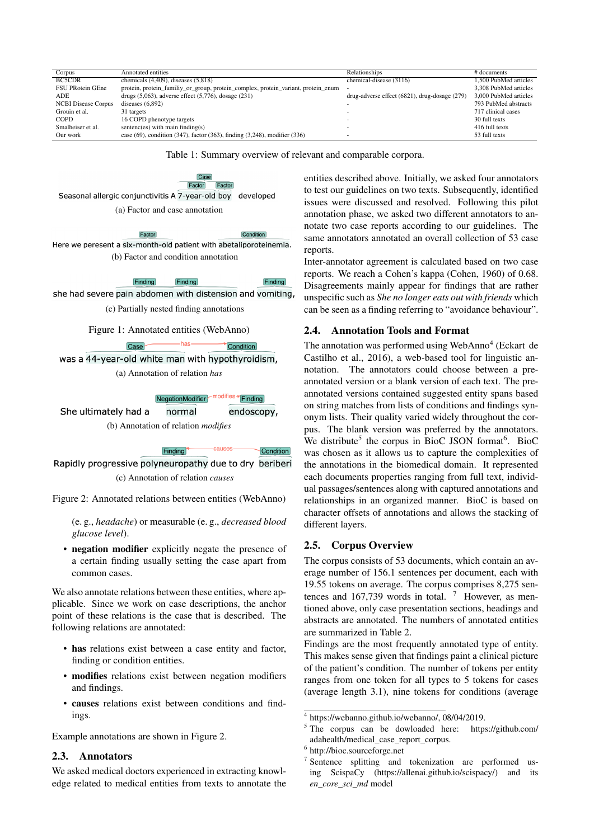<span id="page-1-0"></span>

| Corpus                     | Annotated entities                                                                      | Relationships                                    | # documents           |
|----------------------------|-----------------------------------------------------------------------------------------|--------------------------------------------------|-----------------------|
| <b>BC5CDR</b>              | chemicals $(4,409)$ , diseases $(5,818)$                                                | chemical-disease (3116)                          | 1.500 PubMed articles |
| FSU PRotein GEne           | protein, protein_familiy_or_group, protein_complex, protein_variant, protein_enum       |                                                  | 3.308 PubMed articles |
| ADE.                       | drugs $(5,063)$ , adverse effect $(5,776)$ , dosage $(231)$                             | $drug$ -adverse effect (6821), drug-dosage (279) | 3,000 PubMed articles |
| <b>NCBI Disease Corpus</b> | diseases $(6,892)$                                                                      |                                                  | 793 PubMed abstracts  |
| Grouin et al.              | 31 targets                                                                              |                                                  | 717 clinical cases    |
| <b>COPD</b>                | 16 COPD phenotype targets                                                               |                                                  | 30 full texts         |
| Smalheiser et al.          | sentenc(es) with main finding(s)                                                        |                                                  | 416 full texts        |
| Our work                   | case $(69)$ , condition $(347)$ , factor $(363)$ , finding $(3,248)$ , modifier $(336)$ |                                                  | 53 full texts         |

Table 1: Summary overview of relevant and comparable corpora.

<span id="page-1-3"></span><span id="page-1-1"></span>Case Factor Factor Seasonal allergic conjunctivitis A 7-year-old boy developed (a) Factor and case annotation

Factor Condition Here we peresent a six-month-old patient with abetaliporoteinemia. (b) Factor and condition annotation

> **Finding** Finding  $Findina$

<span id="page-1-4"></span>she had severe pain abdomen with distension and vomiting,

(c) Partially nested finding annotations

 $-has-$ 

Figure 1: Annotated entities (WebAnno)

<span id="page-1-2"></span>was a 44-year-old white man with hypothyroidism, (a) Annotation of relation *has*

 $\overline{\text{Case}}$ 

NegationModifier <sup>modifies</sup> Finding

Condition

She ultimately had a normal endoscopy, (b) Annotation of relation *modifies*

Finding Condition Rapidly progressive polyneuropathy due to dry beriberi (c) Annotation of relation *causes*

Figure 2: Annotated relations between entities (WebAnno)

(e. g., *headache*) or measurable (e. g., *decreased blood glucose level*).

• negation modifier explicitly negate the presence of a certain finding usually setting the case apart from common cases.

We also annotate relations between these entities, where applicable. Since we work on case descriptions, the anchor point of these relations is the case that is described. The following relations are annotated:

- has relations exist between a case entity and factor, finding or condition entities.
- modifies relations exist between negation modifiers and findings.
- causes relations exist between conditions and findings.

Example annotations are shown in Figure [2.](#page-1-2)

## 2.3. Annotators

We asked medical doctors experienced in extracting knowledge related to medical entities from texts to annotate the entities described above. Initially, we asked four annotators to test our guidelines on two texts. Subsequently, identified issues were discussed and resolved. Following this pilot annotation phase, we asked two different annotators to annotate two case reports according to our guidelines. The same annotators annotated an overall collection of 53 case reports.

Inter-annotator agreement is calculated based on two case reports. We reach a Cohen's kappa [\(Cohen, 1960\)](#page-0-0) of 0.68. Disagreements mainly appear for findings that are rather unspecific such as *She no longer eats out with friends* which can be seen as a finding referring to "avoidance behaviour".

## 2.4. Annotation Tools and Format

The annotation was performed using WebAnno<sup>[4](#page-0-0)</sup> [\(Eckart de](#page-0-0) [Castilho et al., 2016\)](#page-0-0), a web-based tool for linguistic annotation. The annotators could choose between a preannotated version or a blank version of each text. The preannotated versions contained suggested entity spans based on string matches from lists of conditions and findings synonym lists. Their quality varied widely throughout the corpus. The blank version was preferred by the annotators. We distribute<sup>[5](#page-0-0)</sup> the corpus in BioC JSON format<sup>[6](#page-0-0)</sup>. BioC was chosen as it allows us to capture the complexities of the annotations in the biomedical domain. It represented each documents properties ranging from full text, individual passages/sentences along with captured annotations and relationships in an organized manner. BioC is based on character offsets of annotations and allows the stacking of different layers.

# 2.5. Corpus Overview

The corpus consists of 53 documents, which contain an average number of 156.1 sentences per document, each with 19.55 tokens on average. The corpus comprises 8,275 sentences and  $167,739$  $167,739$  $167,739$  words in total. <sup>7</sup> However, as mentioned above, only case presentation sections, headings and abstracts are annotated. The numbers of annotated entities are summarized in Table [2.](#page-2-0)

Findings are the most frequently annotated type of entity. This makes sense given that findings paint a clinical picture of the patient's condition. The number of tokens per entity ranges from one token for all types to 5 tokens for cases (average length 3.1), nine tokens for conditions (average

<sup>4</sup> [https://webanno.github.io/webanno/,](https://webanno.github.io/webanno/) 08/04/2019.

<sup>5</sup> The corpus can be dowloaded here: [https://github.com/](https://github.com/adahealth/medical_case_report_corpus) [adahealth/medical\\_case\\_report\\_corpus.](https://github.com/adahealth/medical_case_report_corpus)

<sup>6</sup> <http://bioc.sourceforge.net>

<sup>7</sup> Sentence splitting and tokenization are performed using ScispaCy [\(https://allenai.github.io/scispacy/\)](https://allenai.github.io/scispacy/) and its *en\_core\_sci\_md* model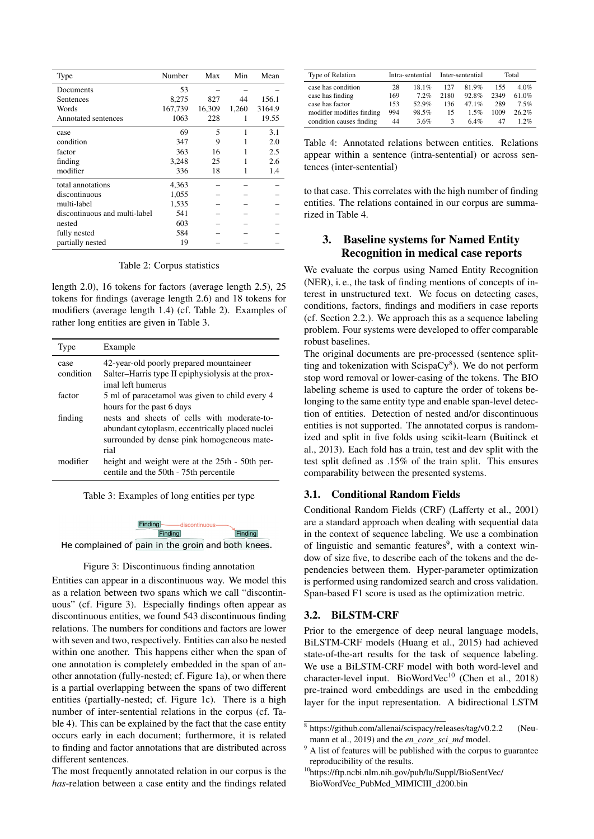<span id="page-2-0"></span>

| Type                          | Number  | Max    | Min   | Mean   |
|-------------------------------|---------|--------|-------|--------|
| Documents                     | 53      |        |       |        |
| Sentences                     | 8,275   | 827    | 44    | 156.1  |
| Words                         | 167,739 | 16,309 | 1,260 | 3164.9 |
| Annotated sentences           | 1063    | 228    |       | 19.55  |
| case                          | 69      | 5      | 1     | 3.1    |
| condition                     | 347     | 9      |       | 2.0    |
| factor                        | 363     | 16     |       | 2.5    |
| finding                       | 3,248   | 25     |       | 2.6    |
| modifier                      | 336     | 18     |       | 1.4    |
| total annotations             | 4,363   |        |       |        |
| discontinuous                 | 1,055   |        |       |        |
| multi-label                   | 1,535   |        |       |        |
| discontinuous and multi-label | 541     |        |       |        |
| nested                        | 603     |        |       |        |
| fully nested                  | 584     |        |       |        |
| partially nested              | 19      |        |       |        |

Table 2: Corpus statistics

length 2.0), 16 tokens for factors (average length 2.5), 25 tokens for findings (average length 2.6) and 18 tokens for modifiers (average length 1.4) (cf. Table [2\)](#page-2-0). Examples of rather long entities are given in Table [3.](#page-2-1)

<span id="page-2-1"></span>

| Type      | Example                                                                                  |
|-----------|------------------------------------------------------------------------------------------|
| case      | 42-year-old poorly prepared mountaineer                                                  |
| condition | Salter–Harris type II epiphysiolysis at the prox-                                        |
|           | imal left humerus                                                                        |
| factor    | 5 ml of paracetamol was given to child every 4                                           |
|           | hours for the past 6 days                                                                |
| finding   | nests and sheets of cells with moderate-to-                                              |
|           | abundant cytoplasm, eccentrically placed nuclei                                          |
|           | surrounded by dense pink homogeneous mate-                                               |
|           | rial                                                                                     |
| modifier  | height and weight were at the 25th - 50th per-<br>centile and the 50th - 75th percentile |

Table 3: Examples of long entities per type



<span id="page-2-2"></span>He complained of pain in the groin and both knees.

Figure 3: Discontinuous finding annotation

Entities can appear in a discontinuous way. We model this as a relation between two spans which we call "discontinuous" (cf. Figure [3\)](#page-2-2). Especially findings often appear as discontinuous entities, we found 543 discontinuous finding relations. The numbers for conditions and factors are lower with seven and two, respectively. Entities can also be nested within one another. This happens either when the span of one annotation is completely embedded in the span of another annotation (fully-nested; cf. Figure [1a\)](#page-1-3), or when there is a partial overlapping between the spans of two different entities (partially-nested; cf. Figure [1c\)](#page-1-4). There is a high number of inter-sentential relations in the corpus (cf. Table [4\)](#page-2-3). This can be explained by the fact that the case entity occurs early in each document; furthermore, it is related to finding and factor annotations that are distributed across different sentences.

The most frequently annotated relation in our corpus is the *has*-relation between a case entity and the findings related

<span id="page-2-3"></span>

| Type of Relation          |     | Intra-sentential |      | Inter-sentential | Total |         |  |
|---------------------------|-----|------------------|------|------------------|-------|---------|--|
| case has condition        | 28  | $18.1\%$         | 127  | 819%             | 155   | $4.0\%$ |  |
| case has finding          | 169 | 72%              | 2180 | $92.8\%$         | 2349  | 61.0%   |  |
| case has factor           | 153 | 52.9%            | 136  | 47 $1\%$         | 289   | 7.5%    |  |
| modifier modifies finding | 994 | 98.5%            | 15   | $1.5\%$          | 1009  | 26.2%   |  |
| condition causes finding  | 44  | 3.6%             | 3    | 64%              | 47    | $1.2\%$ |  |

Table 4: Annotated relations between entities. Relations appear within a sentence (intra-sentential) or across sentences (inter-sentential)

to that case. This correlates with the high number of finding entities. The relations contained in our corpus are summarized in Table [4.](#page-2-3)

# 3. Baseline systems for Named Entity Recognition in medical case reports

We evaluate the corpus using Named Entity Recognition (NER), i. e., the task of finding mentions of concepts of interest in unstructured text. We focus on detecting cases, conditions, factors, findings and modifiers in case reports (cf. Section [2.2.\)](#page-0-1). We approach this as a sequence labeling problem. Four systems were developed to offer comparable robust baselines.

The original documents are pre-processed (sentence splitting and tokenization with  $ScispaCy^{8}$  $ScispaCy^{8}$  $ScispaCy^{8}$ ). We do not perform stop word removal or lower-casing of the tokens. The BIO labeling scheme is used to capture the order of tokens belonging to the same entity type and enable span-level detection of entities. Detection of nested and/or discontinuous entities is not supported. The annotated corpus is randomized and split in five folds using scikit-learn [\(Buitinck et](#page-0-0) [al., 2013\)](#page-0-0). Each fold has a train, test and dev split with the test split defined as .15% of the train split. This ensures comparability between the presented systems.

### 3.1. Conditional Random Fields

Conditional Random Fields (CRF) [\(Lafferty et al., 2001\)](#page-0-0) are a standard approach when dealing with sequential data in the context of sequence labeling. We use a combination of linguistic and semantic features<sup>[9](#page-0-0)</sup>, with a context window of size five, to describe each of the tokens and the dependencies between them. Hyper-parameter optimization is performed using randomized search and cross validation. Span-based F1 score is used as the optimization metric.

### <span id="page-2-4"></span>3.2. BiLSTM-CRF

Prior to the emergence of deep neural language models, BiLSTM-CRF models [\(Huang et al., 2015\)](#page-0-0) had achieved state-of-the-art results for the task of sequence labeling. We use a BiLSTM-CRF model with both word-level and character-level input. BioWordVec<sup>[10](#page-0-0)</sup> [\(Chen et al., 2018\)](#page-0-0) pre-trained word embeddings are used in the embedding layer for the input representation. A bidirectional LSTM

<sup>8</sup> <https://github.com/allenai/scispacy/releases/tag/v0.2.2> [\(Neu](#page-0-0)[mann et al., 2019\)](#page-0-0) and the *en\_core\_sci\_md* model.

<sup>&</sup>lt;sup>9</sup> A list of features will be published with the corpus to guarantee reproducibility of the results.

<sup>10</sup>[https://ftp.ncbi.nlm.nih.gov/pub/lu/Suppl/BioSentVec/](https://ftp.ncbi.nlm.nih.gov/pub/lu/Suppl/BioSentVec/BioWordVec_PubMed_MIMICIII_d200.bin) [BioWordVec\\_PubMed\\_MIMICIII\\_d200.bin](https://ftp.ncbi.nlm.nih.gov/pub/lu/Suppl/BioSentVec/BioWordVec_PubMed_MIMICIII_d200.bin)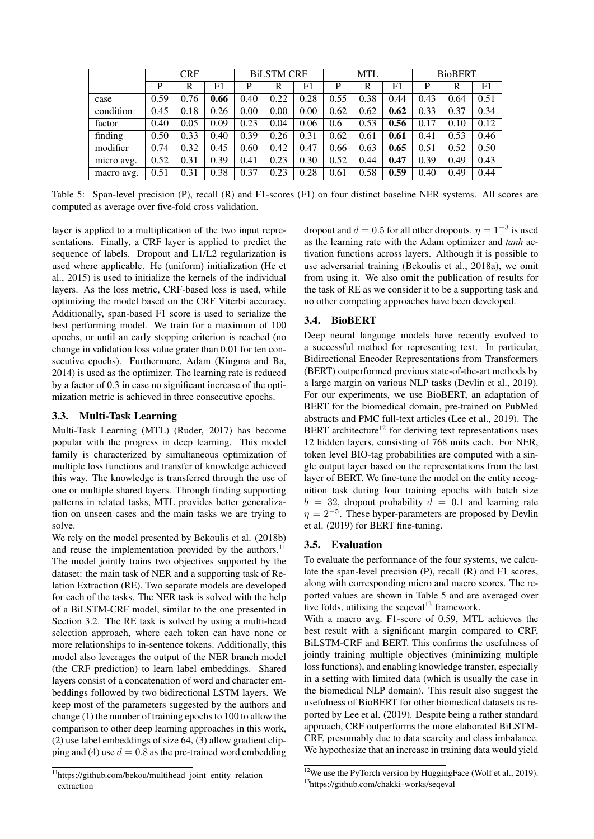<span id="page-3-0"></span>

|            | <b>CRF</b> |      |             | <b>BILSTM CRF</b> |      |      | MTL  |      |      | <b>BioBERT</b> |      |      |
|------------|------------|------|-------------|-------------------|------|------|------|------|------|----------------|------|------|
|            | P          | R    | $_{\rm F1}$ | P                 | R    | F1   | P    | R    | F1   | D              | R    | F1   |
| case       | 0.59       | 0.76 | 0.66        | 0.40              | 0.22 | 0.28 | 0.55 | 0.38 | 0.44 | 0.43           | 0.64 | 0.51 |
| condition  | 0.45       | 0.18 | 0.26        | 0.00              | 0.00 | 0.00 | 0.62 | 0.62 | 0.62 | 0.33           | 0.37 | 0.34 |
| factor     | 0.40       | 0.05 | 0.09        | 0.23              | 0.04 | 0.06 | 0.6  | 0.53 | 0.56 | 0.17           | 0.10 | 0.12 |
| finding    | 0.50       | 0.33 | 0.40        | 0.39              | 0.26 | 0.31 | 0.62 | 0.61 | 0.61 | 0.41           | 0.53 | 0.46 |
| modifier   | 0.74       | 0.32 | 0.45        | 0.60              | 0.42 | 0.47 | 0.66 | 0.63 | 0.65 | 0.51           | 0.52 | 0.50 |
| micro avg. | 0.52       | 0.31 | 0.39        | 0.41              | 0.23 | 0.30 | 0.52 | 0.44 | 0.47 | 0.39           | 0.49 | 0.43 |
| macro avg. | 0.51       | 0.31 | 0.38        | 0.37              | 0.23 | 0.28 | 0.61 | 0.58 | 0.59 | 0.40           | 0.49 | 0.44 |

Table 5: Span-level precision (P), recall (R) and F1-scores (F1) on four distinct baseline NER systems. All scores are computed as average over five-fold cross validation.

layer is applied to a multiplication of the two input representations. Finally, a CRF layer is applied to predict the sequence of labels. Dropout and L1/L2 regularization is used where applicable. He (uniform) initialization [\(He et](#page-0-0) [al., 2015\)](#page-0-0) is used to initialize the kernels of the individual layers. As the loss metric, CRF-based loss is used, while optimizing the model based on the CRF Viterbi accuracy. Additionally, span-based F1 score is used to serialize the best performing model. We train for a maximum of 100 epochs, or until an early stopping criterion is reached (no change in validation loss value grater than 0.01 for ten consecutive epochs). Furthermore, Adam [\(Kingma and Ba,](#page-0-0) [2014\)](#page-0-0) is used as the optimizer. The learning rate is reduced by a factor of 0.3 in case no significant increase of the optimization metric is achieved in three consecutive epochs.

# 3.3. Multi-Task Learning

Multi-Task Learning (MTL) [\(Ruder, 2017\)](#page-0-0) has become popular with the progress in deep learning. This model family is characterized by simultaneous optimization of multiple loss functions and transfer of knowledge achieved this way. The knowledge is transferred through the use of one or multiple shared layers. Through finding supporting patterns in related tasks, MTL provides better generalization on unseen cases and the main tasks we are trying to solve.

We rely on the model presented by [Bekoulis et al. \(2018b\)](#page-0-0) and reuse the implementation provided by the authors. $^{11}$  $^{11}$  $^{11}$ The model jointly trains two objectives supported by the dataset: the main task of NER and a supporting task of Relation Extraction (RE). Two separate models are developed for each of the tasks. The NER task is solved with the help of a BiLSTM-CRF model, similar to the one presented in Section [3.2.](#page-2-4) The RE task is solved by using a multi-head selection approach, where each token can have none or more relationships to in-sentence tokens. Additionally, this model also leverages the output of the NER branch model (the CRF prediction) to learn label embeddings. Shared layers consist of a concatenation of word and character embeddings followed by two bidirectional LSTM layers. We keep most of the parameters suggested by the authors and change (1) the number of training epochs to 100 to allow the comparison to other deep learning approaches in this work, (2) use label embeddings of size 64, (3) allow gradient clipping and (4) use  $d = 0.8$  as the pre-trained word embedding

dropout and  $d = 0.5$  for all other dropouts.  $\eta = 1^{-3}$  is used as the learning rate with the Adam optimizer and *tanh* activation functions across layers. Although it is possible to use adversarial training [\(Bekoulis et al., 2018a\)](#page-0-0), we omit from using it. We also omit the publication of results for the task of RE as we consider it to be a supporting task and no other competing approaches have been developed.

## 3.4. BioBERT

Deep neural language models have recently evolved to a successful method for representing text. In particular, Bidirectional Encoder Representations from Transformers (BERT) outperformed previous state-of-the-art methods by a large margin on various NLP tasks [\(Devlin et al., 2019\)](#page-0-0). For our experiments, we use BioBERT, an adaptation of BERT for the biomedical domain, pre-trained on PubMed abstracts and PMC full-text articles [\(Lee et al., 2019\)](#page-0-0). The BERT architecture<sup>[12](#page-0-0)</sup> for deriving text representations uses 12 hidden layers, consisting of 768 units each. For NER, token level BIO-tag probabilities are computed with a single output layer based on the representations from the last layer of BERT. We fine-tune the model on the entity recognition task during four training epochs with batch size  $b = 32$ , dropout probability  $d = 0.1$  and learning rate  $\eta = 2^{-5}$ . These hyper-parameters are proposed by [Devlin](#page-0-0) [et al. \(2019\)](#page-0-0) for BERT fine-tuning.

### 3.5. Evaluation

To evaluate the performance of the four systems, we calculate the span-level precision (P), recall (R) and F1 scores, along with corresponding micro and macro scores. The reported values are shown in Table [5](#page-3-0) and are averaged over five folds, utilising the seqeval<sup>[13](#page-0-0)</sup> framework.

With a macro avg. F1-score of 0.59, MTL achieves the best result with a significant margin compared to CRF, BiLSTM-CRF and BERT. This confirms the usefulness of jointly training multiple objectives (minimizing multiple loss functions), and enabling knowledge transfer, especially in a setting with limited data (which is usually the case in the biomedical NLP domain). This result also suggest the usefulness of BioBERT for other biomedical datasets as reported by [Lee et al. \(2019\)](#page-0-0). Despite being a rather standard approach, CRF outperforms the more elaborated BiLSTM-CRF, presumably due to data scarcity and class imbalance. We hypothesize that an increase in training data would vield

<sup>&</sup>lt;sup>11</sup>[https://github.com/bekou/multihead\\_joint\\_entity\\_relation\\_](https://github.com/bekou/multihead_joint_entity_relation_extraction) [extraction](https://github.com/bekou/multihead_joint_entity_relation_extraction)

<sup>&</sup>lt;sup>12</sup>We use the PyTorch version by HuggingFace [\(Wolf et al., 2019\)](#page-0-0). <sup>13</sup><https://github.com/chakki-works/seqeval>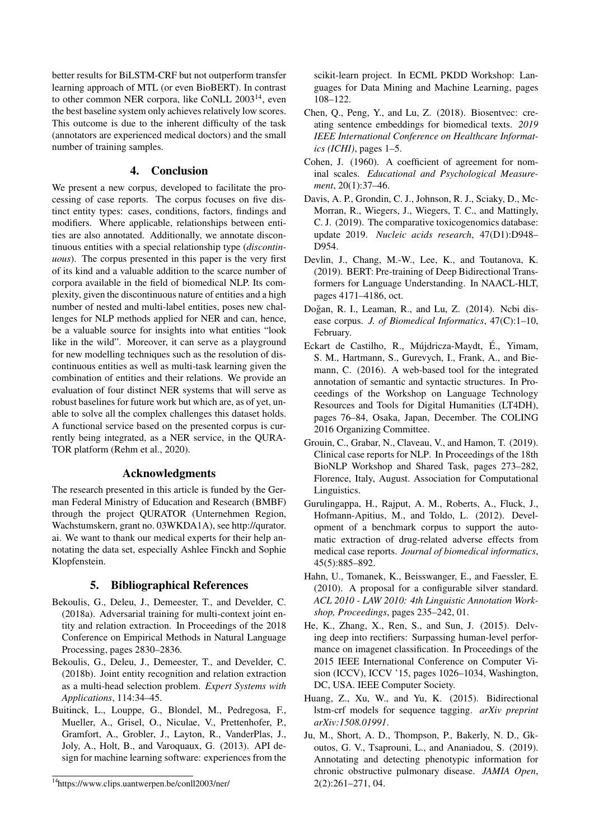better results for BiLSTM-CRF but not outperform transfer learning approach of MTL (or even BioBERT). In contrast to other common NER corpora, like CoNLL 2003<sup>[14](#page-0-0)</sup>, even the best baseline system only achieves relatively low scores. This outcome is due to the inherent difficulty of the task (annotators are experienced medical doctors) and the small number of training samples.

# 4. Conclusion

We present a new corpus, developed to facilitate the processing of case reports. The corpus focuses on five distinct entity types: cases, conditions, factors, findings and modifiers. Where applicable, relationships between entities are also annotated. Additionally, we annotate discontinuous entities with a special relationship type (*discontinuous*). The corpus presented in this paper is the very first of its kind and a valuable addition to the scarce number of corpora available in the field of biomedical NLP. Its complexity, given the discontinuous nature of entities and a high number of nested and multi-label entities, poses new challenges for NLP methods applied for NER and can, hence, be a valuable source for insights into what entities "look like in the wild". Moreover, it can serve as a playground for new modelling techniques such as the resolution of discontinuous entities as well as multi-task learning given the combination of entities and their relations. We provide an evaluation of four distinct NER systems that will serve as robust baselines for future work but which are, as of yet, unable to solve all the complex challenges this dataset holds. A functional service based on the presented corpus is currently being integrated, as a NER service, in the QURA-TOR platform [\(Rehm et al., 2020\)](#page-0-0).

# Acknowledgments

The research presented in this article is funded by the German Federal Ministry of Education and Research (BMBF) through the project QURATOR (Unternehmen Region, Wachstumskern, grant no. 03WKDA1A), see [http://qurator.](http://qurator.ai) [ai.](http://qurator.ai) We want to thank our medical experts for their help annotating the data set, especially Ashlee Finckh and Sophie Klopfenstein.

# 5. Bibliographical References

- Bekoulis, G., Deleu, J., Demeester, T., and Develder, C. (2018a). Adversarial training for multi-context joint entity and relation extraction. In Proceedings of the 2018 Conference on Empirical Methods in Natural Language Processing, pages 2830–2836.
- Bekoulis, G., Deleu, J., Demeester, T., and Develder, C. (2018b). Joint entity recognition and relation extraction as a multi-head selection problem. *Expert Systems with Applications*, 114:34–45.
- Buitinck, L., Louppe, G., Blondel, M., Pedregosa, F., Mueller, A., Grisel, O., Niculae, V., Prettenhofer, P., Gramfort, A., Grobler, J., Layton, R., VanderPlas, J., Joly, A., Holt, B., and Varoquaux, G. (2013). API design for machine learning software: experiences from the

scikit-learn project. In ECML PKDD Workshop: Languages for Data Mining and Machine Learning, pages 108–122.

- Chen, Q., Peng, Y., and Lu, Z. (2018). Biosentvec: creating sentence embeddings for biomedical texts. *2019 IEEE International Conference on Healthcare Informatics (ICHI)*, pages 1–5.
- Cohen, J. (1960). A coefficient of agreement for nominal scales. *Educational and Psychological Measurement*, 20(1):37–46.
- Davis, A. P., Grondin, C. J., Johnson, R. J., Sciaky, D., Mc-Morran, R., Wiegers, J., Wiegers, T. C., and Mattingly, C. J. (2019). The comparative toxicogenomics database: update 2019. *Nucleic acids research*, 47(D1):D948– D954.
- Devlin, J., Chang, M.-W., Lee, K., and Toutanova, K. (2019). BERT: Pre-training of Deep Bidirectional Transformers for Language Understanding. In NAACL-HLT, pages 4171–4186, oct.
- Doğan, R. I., Leaman, R., and Lu, Z. (2014). Ncbi disease corpus. *J. of Biomedical Informatics*, 47(C):1–10, February.
- Eckart de Castilho, R., Mújdricza-Maydt, É., Yimam, S. M., Hartmann, S., Gurevych, I., Frank, A., and Biemann, C. (2016). A web-based tool for the integrated annotation of semantic and syntactic structures. In Proceedings of the Workshop on Language Technology Resources and Tools for Digital Humanities (LT4DH), pages 76–84, Osaka, Japan, December. The COLING 2016 Organizing Committee.
- Grouin, C., Grabar, N., Claveau, V., and Hamon, T. (2019). Clinical case reports for NLP. In Proceedings of the 18th BioNLP Workshop and Shared Task, pages 273–282, Florence, Italy, August. Association for Computational Linguistics.
- Gurulingappa, H., Rajput, A. M., Roberts, A., Fluck, J., Hofmann-Apitius, M., and Toldo, L. (2012). Development of a benchmark corpus to support the automatic extraction of drug-related adverse effects from medical case reports. *Journal of biomedical informatics*, 45(5):885–892.
- Hahn, U., Tomanek, K., Beisswanger, E., and Faessler, E. (2010). A proposal for a configurable silver standard. *ACL 2010 - LAW 2010: 4th Linguistic Annotation Workshop, Proceedings*, pages 235–242, 01.
- He, K., Zhang, X., Ren, S., and Sun, J. (2015). Delving deep into rectifiers: Surpassing human-level performance on imagenet classification. In Proceedings of the 2015 IEEE International Conference on Computer Vision (ICCV), ICCV '15, pages 1026–1034, Washington, DC, USA. IEEE Computer Society.
- Huang, Z., Xu, W., and Yu, K. (2015). Bidirectional lstm-crf models for sequence tagging. *arXiv preprint arXiv:1508.01991*.
- Ju, M., Short, A. D., Thompson, P., Bakerly, N. D., Gkoutos, G. V., Tsaprouni, L., and Ananiadou, S. (2019). Annotating and detecting phenotypic information for chronic obstructive pulmonary disease. *JAMIA Open*, 2(2):261–271, 04.

<sup>14</sup><https://www.clips.uantwerpen.be/conll2003/ner/>